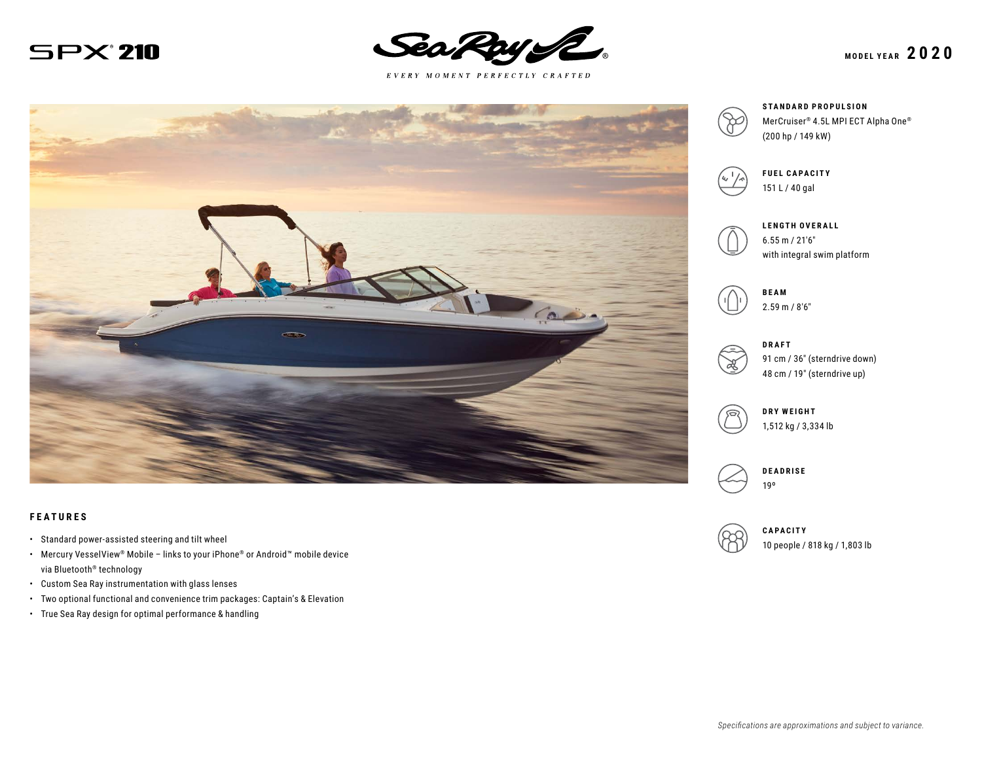



 $E \; V \; E \; R \; Y \quad M \; O \; M \; E \; N \; T \quad P \; E \; R \; F \; E \; C \; T \; L \; Y \quad C \; R \; A \; F \; T \; E \; D$ 



#### **FEATURES**

- Standard power-assisted steering and tilt wheel
- Mercury VesselView® Mobile links to your iPhone® or Android™ mobile device via Bluetooth® technology
- Custom Sea Ray instrumentation with glass lenses
- Two optional functional and convenience trim packages: Captain's & Elevation
- True Sea Ray design for optimal performance & handling







**FUEL CAPACITY** 151 L / 40 gal



**LENGTH OVERALL** 6.55 m / 21′6″ with integral swim platform



2.59 m / 8′6″



91 cm / 36″ (sterndrive down) 48 cm / 19″ (sterndrive up)



**DRY WEIGHT** 1,512 kg / 3,334 lb





10 people / 818 kg / 1,803 lb